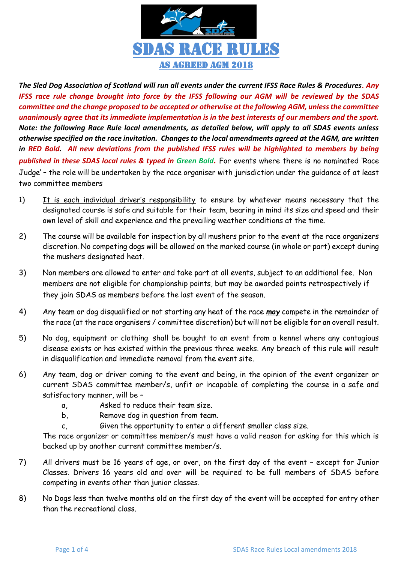

*The Sled Dog Association of Scotland will run all events under the current IFSS Race Rules & Procedures. Any IFSS race rule change brought into force by the IFSS following our AGM will be reviewed by the SDAS committee and the change proposed to be accepted or otherwise at the following AGM, unless the committee unanimously agree that its immediate implementation is in the best interests of our members and the sport. Note: the following Race Rule local amendments, as detailed below, will apply to all SDAS events unless otherwise specified on the race invitation. Changes to the local amendments agreed at the AGM, are written in RED Bold. All new deviations from the published IFSS rules will be highlighted to members by being published in these SDAS local rules & typed in Green Bold.* For events where there is no nominated 'Race Judge' – the role will be undertaken by the race organiser with jurisdiction under the guidance of at least two committee members

- 1) It is each individual driver's responsibility to ensure by whatever means necessary that the designated course is safe and suitable for their team, bearing in mind its size and speed and their own level of skill and experience and the prevailing weather conditions at the time.
- 2) The course will be available for inspection by all mushers prior to the event at the race organizers discretion. No competing dogs will be allowed on the marked course (in whole or part) except during the mushers designated heat.
- 3) Non members are allowed to enter and take part at all events, subject to an additional fee. Non members are not eligible for championship points, but may be awarded points retrospectively if they join SDAS as members before the last event of the season.
- 4) Any team or dog disqualified or not starting any heat of the race *may* compete in the remainder of the race (at the race organisers / committee discretion) but will not be eligible for an overall result.
- 5) No dog, equipment or clothing shall be bought to an event from a kennel where any contagious disease exists or has existed within the previous three weeks. Any breach of this rule will result in disqualification and immediate removal from the event site.
- 6) Any team, dog or driver coming to the event and being, in the opinion of the event organizer or current SDAS committee member/s, unfit or incapable of completing the course in a safe and satisfactory manner, will be –
	- a, Asked to reduce their team size.
	- b, Remove dog in question from team.
	- c, Given the opportunity to enter a different smaller class size.

The race organizer or committee member/s must have a valid reason for asking for this which is backed up by another current committee member/s.

- 7) All drivers must be 16 years of age, or over, on the first day of the event except for Junior Classes. Drivers 16 years old and over will be required to be full members of SDAS before competing in events other than junior classes.
- 8) No Dogs less than twelve months old on the first day of the event will be accepted for entry other than the recreational class.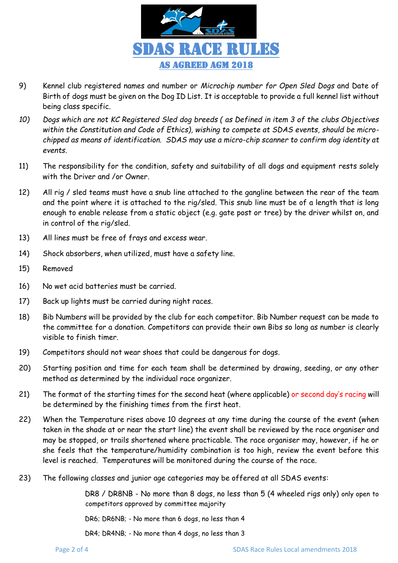

- 9) Kennel club registered names and number or *Microchip number for Open Sled Dogs* and Date of Birth of dogs must be given on the Dog ID List. It is acceptable to provide a full kennel list without being class specific.
- *10) Dogs which are not KC Registered Sled dog breeds ( as Defined in item 3 of the clubs Objectives within the Constitution and Code of Ethics), wishing to compete at SDAS events, should be microchipped as means of identification. SDAS may use a micro-chip scanner to confirm dog identity at events.*
- 11) The responsibility for the condition, safety and suitability of all dogs and equipment rests solely with the Driver and /or Owner.
- 12) All rig / sled teams must have a snub line attached to the gangline between the rear of the team and the point where it is attached to the rig/sled. This snub line must be of a length that is long enough to enable release from a static object (e.g. gate post or tree) by the driver whilst on, and in control of the rig/sled.
- 13) All lines must be free of frays and excess wear.
- 14) Shock absorbers, when utilized, must have a safety line.
- 15) Removed
- 16) No wet acid batteries must be carried.
- 17) Back up lights must be carried during night races.
- 18) Bib Numbers will be provided by the club for each competitor. Bib Number request can be made to the committee for a donation. Competitors can provide their own Bibs so long as number is clearly visible to finish timer.
- 19) Competitors should not wear shoes that could be dangerous for dogs.
- 20) Starting position and time for each team shall be determined by drawing, seeding, or any other method as determined by the individual race organizer.
- 21) The format of the starting times for the second heat (where applicable) or second day's racing will be determined by the finishing times from the first heat.
- 22) When the Temperature rises above 10 degrees at any time during the course of the event (when taken in the shade at or near the start line) the event shall be reviewed by the race organiser and may be stopped, or trails shortened where practicable. The race organiser may, however, if he or she feels that the temperature/humidity combination is too high, review the event before this level is reached. Temperatures will be monitored during the course of the race.
- 23) The following classes and junior age categories may be offered at all SDAS events:

DR8 / DR8NB - No more than 8 dogs, no less than 5 (4 wheeled rigs only) only open to competitors approved by committee majority

DR6; DR6NB; - No more than 6 dogs, no less than 4

DR4; DR4NB; - No more than 4 dogs, no less than 3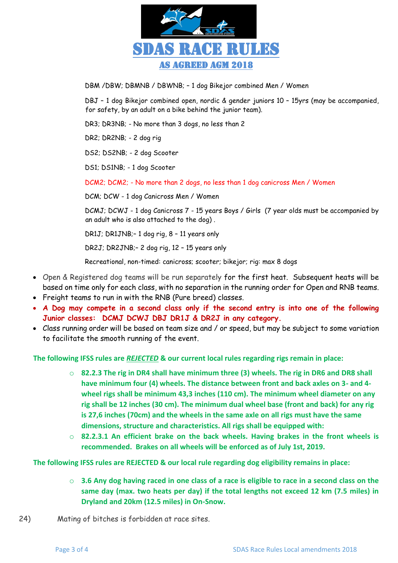

DBM /DBW; DBMNB / DBWNB; – 1 dog Bikejor combined Men / Women

DBJ – 1 dog Bikejor combined open, nordic & gender juniors 10 – 15yrs (may be accompanied, for safety, by an adult on a bike behind the junior team).

DR3; DR3NB; - No more than 3 dogs, no less than 2

DR2; DR2NB; - 2 dog rig

DS2; DS2NB; - 2 dog Scooter

DS1; DS1NB; - 1 dog Scooter

DCM2; DCM2; - No more than 2 dogs, no less than 1 dog canicross Men / Women

DCM; DCW - 1 dog Canicross Men / Women

DCMJ; DCWJ - 1 dog Canicross 7 - 15 years Boys / Girls (7 year olds must be accompanied by an adult who is also attached to the dog) .

DR1J; DR1JNB;– 1 dog rig, 8 – 11 years only

DR2J; DR2JNB;– 2 dog rig, 12 – 15 years only

Recreational, non-timed: canicross; scooter; bikejor; rig: max 8 dogs

- Open & Registered dog teams will be run separately for the first heat. Subsequent heats will be based on time only for each class, with no separation in the running order for Open and RNB teams.
- Freight teams to run in with the RNB (Pure breed) classes.
- **A Dog may compete in a second class only if the second entry is into one of the following Junior classes: DCMJ DCWJ DBJ DR1J & DR2J in any category.**
- Class running order will be based on team size and / or speed, but may be subject to some variation to facilitate the smooth running of the event.

## **The following IFSS rules are** *REJECTED* **& our current local rules regarding rigs remain in place:**

- o **82.2.3 The rig in DR4 shall have minimum three (3) wheels. The rig in DR6 and DR8 shall have minimum four (4) wheels. The distance between front and back axles on 3- and 4 wheel rigs shall be minimum 43,3 inches (110 cm). The minimum wheel diameter on any rig shall be 12 inches (30 cm). The minimum dual wheel base (front and back) for any rig is 27,6 inches (70cm) and the wheels in the same axle on all rigs must have the same dimensions, structure and characteristics. All rigs shall be equipped with:**
- o **82.2.3.1 An efficient brake on the back wheels. Having brakes in the front wheels is recommended. Brakes on all wheels will be enforced as of July 1st, 2019.**

**The following IFSS rules are REJECTED & our local rule regarding dog eligibility remains in place:**

- o **3.6 Any dog having raced in one class of a race is eligible to race in a second class on the same day (max. two heats per day) if the total lengths not exceed 12 km (7.5 miles) in Dryland and 20km (12.5 miles) in On-Snow.**
- 24) Mating of bitches is forbidden at race sites.